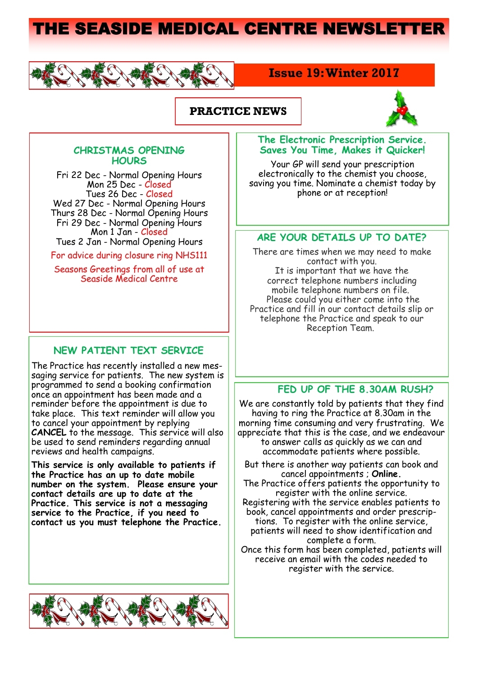# THE SEASIDE MEDICAL CENTRE NEWSLETTER



## **Issue 19: Winter 2017**

## **PRACTICE NEWS**



#### **CHRISTMAS OPENING HOURS**

Fri 22 Dec - Normal Opening Hours Mon 25 Dec - Closed Tues 26 Dec - Closed Wed 27 Dec - Normal Opening Hours Thurs 28 Dec - Fri 29 Dec - Normal Opening Hours Mon 1 Jan - Closed Tues 2 Jan - Normal Opening Hours

For advice during closure ring NHS111

Seasons Greetings from all of use at Seaside Medical Centre

### **NEW PATIENT TEXT SERVICE**

The Practice has recently installed a new messaging service for patients. The new system is programmed to send a booking confirmation once an appointment has been made and a reminder before the appointment is due to take place. This text reminder will allow you to cancel your appointment by replying **CANCEL** to the message. This service will also be used to send reminders regarding annual reviews and health campaigns.

**This service is only available to patients if the Practice has an up to date mobile number on the system. Please ensure your contact details are up to date at the Practice. This service is not a messaging service to the Practice, if you need to contact us you must telephone the Practice.** 



#### **The Electronic Prescription Service. Saves You Time, Makes it Quicker!**

Your GP will send your prescription electronically to the chemist you choose, saving you time. Nominate a chemist today by phone or at reception!

### **ARE YOUR DETAILS UP TO DATE?**

There are times when we may need to make contact with you. It is important that we have the correct telephone numbers including mobile telephone numbers on file. Please could you either come into the Practice and fill in our contact details slip or telephone the Practice and speak to our Reception Team.

## **FED UP OF THE 8.30AM RUSH?**

We are constantly told by patients that they find having to ring the Practice at 8.30am in the morning time consuming and very frustrating. We appreciate that this is the case, and we endeavour to answer calls as quickly as we can and accommodate patients where possible.

- But there is another way patients can book and cancel appointments ; **Online.**
- The Practice offers patients the opportunity to register with the online service.
- Registering with the service enables patients to book, cancel appointments and order prescrip-
- tions. To register with the online service, patients will need to show identification and complete a form.
- Once this form has been completed, patients will receive an email with the codes needed to register with the service.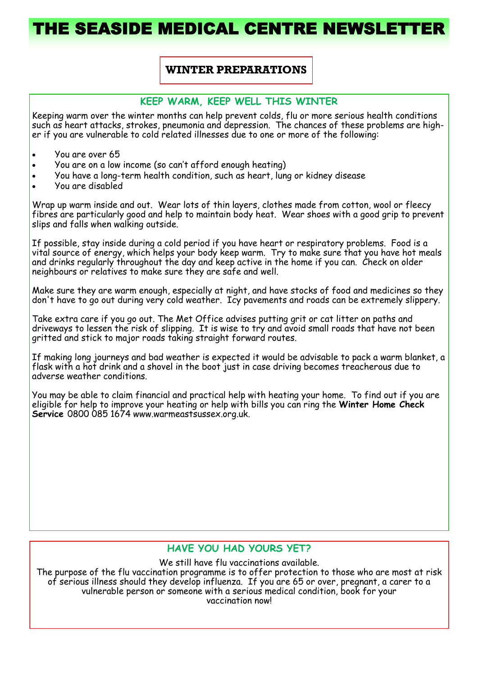# HE SEASIDE MEDICAL CENTRE NEWSLET

## **WINTER PREPARATIONS**

#### **KEEP WARM, KEEP WELL THIS WINTER**

Keeping warm over the winter months can help prevent colds, flu or more serious health conditions such as heart attacks, strokes, pneumonia and depression. The chances of these problems are higher if you are vulnerable to cold related illnesses due to one or more of the following:

- You are over 65
- You are on a low income (so can't afford enough heating)
- You have a long-term health condition, such as heart, lung or kidney disease
- You are disabled

Wrap up warm inside and out. Wear lots of thin layers, clothes made from cotton, wool or fleecy fibres are particularly good and help to maintain body heat. Wear shoes with a good grip to prevent slips and falls when walking outside.

If possible, stay inside during a cold period if you have heart or respiratory problems. Food is a vital source of energy, which helps your body keep warm. Try to make sure that you have hot meals and drinks regularly throughout the day and keep active in the home if you can. Check on older neighbours or relatives to make sure they are safe and well.

Make sure they are warm enough, especially at night, and have stocks of food and medicines so they don't have to go out during very cold weather. Icy pavements and roads can be extremely slippery.

Take extra care if you go out. The Met Office advises putting grit or cat litter on paths and driveways to lessen the risk of slipping. It is wise to try and avoid small roads that have not been gritted and stick to major roads taking straight forward routes.

If making long journeys and bad weather is expected it would be advisable to pack a warm blanket, a flask with a hot drink and a shovel in the boot just in case driving becomes treacherous due to adverse weather conditions.

You may be able to claim financial and practical help with heating your home. To find out if you are eligible for help to improve your heating or help with bills you can ring the **Winter Home Check Service** 0800 085 1674 www.warmeastsussex.org.uk.

### **HAVE YOU HAD YOURS YET?**

We still have flu vaccinations available.

The purpose of the flu vaccination programme is to offer protection to those who are most at risk of serious illness should they develop influenza. If you are 65 or over, pregnant, a carer to a vulnerable person or someone with a serious medical condition, book for your vaccination now!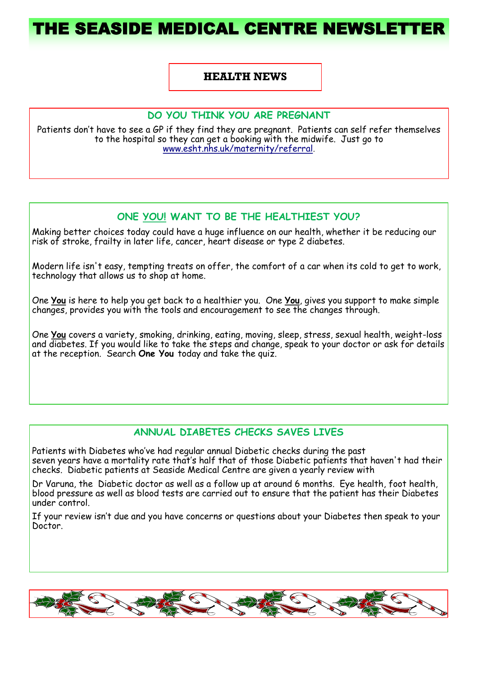# THE SEASIDE MEDICAL CENTRE NEWSLET

#### **HEALTH NEWS**

#### **DO YOU THINK YOU ARE PREGNANT**

Patients don't have to see a GP if they find they are pregnant. Patients can self refer themselves to the hospital so they can get a booking with the midwife. Just go to [www.esht.nhs.uk/maternity/referral.](http://www.esht.nhs.uk/maternity/referral)

## **ONE YOU! WANT TO BE THE HEALTHIEST YOU?**

Making better choices today could have a huge influence on our health, whether it be reducing our risk of stroke, frailty in later life, cancer, heart disease or type 2 diabetes.

Modern life isn't easy, tempting treats on offer, the comfort of a car when its cold to get to work, technology that allows us to shop at home.

One **You** is here to help you get back to a healthier you. One **You**, gives you support to make simple changes, provides you with the tools and encouragement to see the changes through.

One **You** covers a variety, smoking, drinking, eating, moving, sleep, stress, sexual health, weight-loss and diabetes. If you would like to take the steps and change, speak to your doctor or ask for details at the reception. Search **One You** today and take the quiz.

### **ANNUAL DIABETES CHECKS SAVES LIVES**

Patients with Diabetes who've had regular annual Diabetic checks during the past seven years have a mortality rate that's half that of those Diabetic patients that haven't had their checks. Diabetic patients at Seaside Medical Centre are given a yearly review with

Dr Varuna, the Diabetic doctor as well as a follow up at around 6 months. Eye health, foot health, blood pressure as well as blood tests are carried out to ensure that the patient has their Diabetes under control.

If your review isn't due and you have concerns or questions about your Diabetes then speak to your Doctor.